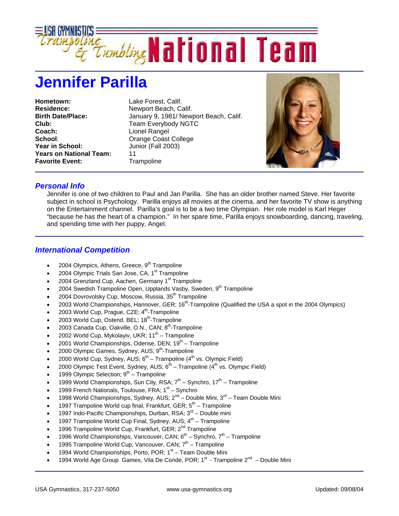

## **Jennifer Parilla**

**Hometown:** Lake Forest, Calif. **Residence:** Newport Beach, Calif. **Club:** Team Everybody NGTC **Coach:** Lionel Rangel **School:** Orange Coast College **Year in School:** Junior (Fall 2003) **Years on National Team:** 11 **Favorite Event:** Trampoline

**Birth Date/Place:** January 9, 1981/ Newport Beach, Calif.



## *Personal Info*

Jennifer is one of two children to Paul and Jan Parilla. She has an older brother named Steve. Her favorite subject in school is Psychology. Parilla enjoys all movies at the cinema, and her favorite TV show is anything on the Entertainment channel. Parilla's goal is to be a two time Olympian. Her role model is Karl Heger "because he has the heart of a champion." In her spare time, Parilla enjoys snowboarding, dancing, traveling, and spending time with her puppy, Angel.

## *International Competition*

- 2004 Olympics, Athens, Greece, 9<sup>th</sup> Trampoline
- 2004 Olympic Trials San Jose, CA, 1<sup>st</sup> Trampoline
- 2004 Grenzland Cup, Aachen, Germany 1<sup>st</sup> Trampoline
- 2004 Swedish Trampoline Open, Upplands Vasby, Sweden, 9<sup>th</sup> Trampoline
- 2004 Dovrovolsky Cup, Moscow, Russia, 35<sup>th</sup> Trampoline
- 2003 World Championships, Hannover, GER; 16<sup>th</sup>-Trampoline (Qualified the USA a spot in the 2004 Olympics)
- 2003 World Cup, Prague, CZE; 4<sup>th</sup>-Trampoline
- 2003 World Cup, Ostend, BEL; 18<sup>th</sup>-Trampoline
- 2003 Canada Cup, Oakville, O.N., CAN; 8<sup>th</sup>-Trampoline
- 2002 World Cup, Mykolayiv, UKR;  $11^{th}$  Trampoline
- 2001 World Championships, Odense, DEN;  $19<sup>th</sup> T$ rampoline
- 2000 Olympic Games, Sydney, AUS; 9<sup>th</sup>-Trampoline
- 2000 World Cup, Sydney, AUS;  $6^{th}$  Trampoline (4<sup>th</sup> vs. Olympic Field)
- 2000 Olympic Test Event, Sydney, AUS;  $6^{th}$  Trampoline ( $4^{th}$  vs. Olympic Field)
- 1999 Olympic Selection;  $9<sup>th</sup>$  Trampoline
- 1999 World Championships, Sun City, RSA;  $7<sup>th</sup>$  Synchro, 17<sup>th</sup> Trampoline
- 1999 French Nationals, Toulouse, FRA;  $1<sup>st</sup>$  Synchro
- 1998 World Championships, Sydney, AUS;  $2^{nd}$  Double Mini,  $3^{rd}$  Team Double Mini
- 1997 Trampoline World cup final, Frankfurt, GER;  $5<sup>th</sup>$  Trampoline
- 1997 Indo-Pacific Championships, Durban, RSA;  $3^{rd}$  Double mini
- 1997 Trampoline World Cup Final, Sydney, AUS;  $4<sup>th</sup>$  Trampoline
- 1996 Trampoline World Cup, Frankfurt, GER; 2<sup>nd</sup> Trampoline
- 1996 World Championships, Vancouver, CAN;  $6^{th}$  Synchro,  $7^{th}$  Trampoline
- 1995 Trampoline World Cup, Vancouver, CAN;  $7<sup>th</sup>$  Trampoline
- 1994 World Championships, Porto, POR;  $1<sup>st</sup> Team Double Mini$
- 1994 World Age Group Games, Vila De Conde, POR;  $1^{st}$  Trampoline  $2^{nd}$  Double Mini